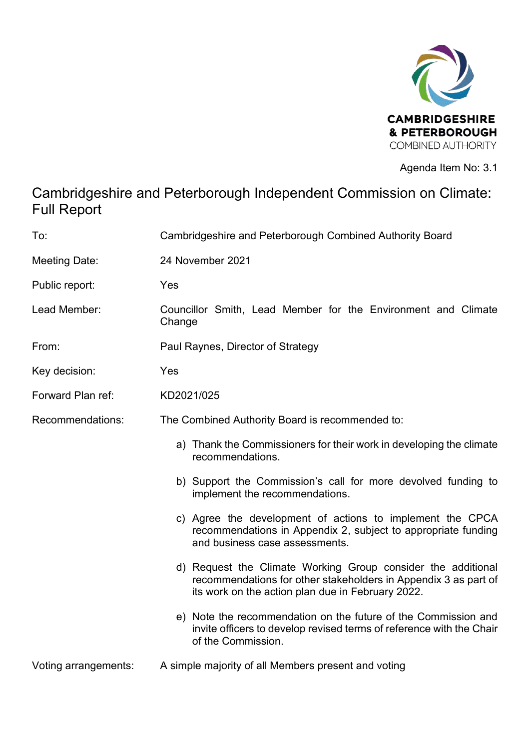

Agenda Item No: 3.1

# Cambridgeshire and Peterborough Independent Commission on Climate: Full Report

| To:                  | Cambridgeshire and Peterborough Combined Authority Board                                                                                                                             |
|----------------------|--------------------------------------------------------------------------------------------------------------------------------------------------------------------------------------|
| <b>Meeting Date:</b> | 24 November 2021                                                                                                                                                                     |
| Public report:       | Yes                                                                                                                                                                                  |
| Lead Member:         | Councillor Smith, Lead Member for the Environment and Climate<br>Change                                                                                                              |
| From:                | Paul Raynes, Director of Strategy                                                                                                                                                    |
| Key decision:        | Yes                                                                                                                                                                                  |
| Forward Plan ref:    | KD2021/025                                                                                                                                                                           |
| Recommendations:     | The Combined Authority Board is recommended to:                                                                                                                                      |
|                      | a) Thank the Commissioners for their work in developing the climate<br>recommendations.                                                                                              |
|                      | b) Support the Commission's call for more devolved funding to<br>implement the recommendations.                                                                                      |
|                      | c) Agree the development of actions to implement the CPCA<br>recommendations in Appendix 2, subject to appropriate funding<br>and business case assessments.                         |
|                      | d) Request the Climate Working Group consider the additional<br>recommendations for other stakeholders in Appendix 3 as part of<br>its work on the action plan due in February 2022. |
|                      | e) Note the recommendation on the future of the Commission and<br>invite officers to develop revised terms of reference with the Chair<br>of the Commission.                         |
| Voting arrangements: | A simple majority of all Members present and voting                                                                                                                                  |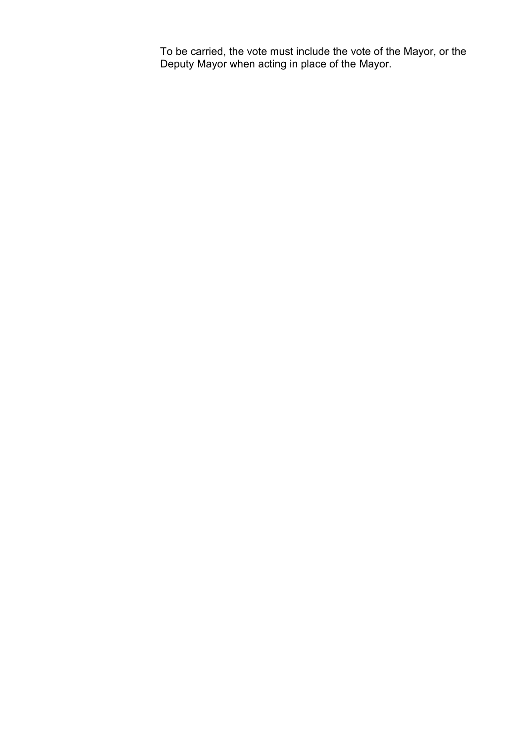To be carried, the vote must include the vote of the Mayor, or the Deputy Mayor when acting in place of the Mayor.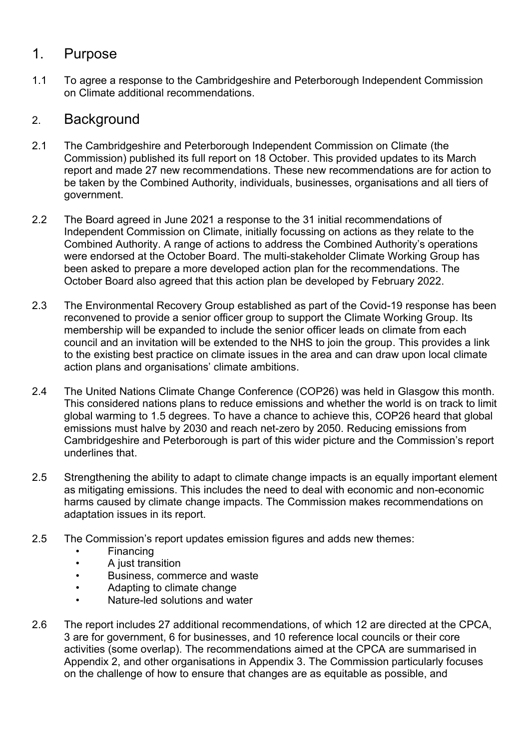#### 1. Purpose

1.1 To agree a response to the Cambridgeshire and Peterborough Independent Commission on Climate additional recommendations.

#### 2. Background

- 2.1 The Cambridgeshire and Peterborough Independent Commission on Climate (the Commission) published its full report on 18 October. This provided updates to its March report and made 27 new recommendations. These new recommendations are for action to be taken by the Combined Authority, individuals, businesses, organisations and all tiers of government.
- 2.2 The Board agreed in June 2021 a response to the 31 initial recommendations of Independent Commission on Climate, initially focussing on actions as they relate to the Combined Authority. A range of actions to address the Combined Authority's operations were endorsed at the October Board. The multi-stakeholder Climate Working Group has been asked to prepare a more developed action plan for the recommendations. The October Board also agreed that this action plan be developed by February 2022.
- 2.3 The Environmental Recovery Group established as part of the Covid-19 response has been reconvened to provide a senior officer group to support the Climate Working Group. Its membership will be expanded to include the senior officer leads on climate from each council and an invitation will be extended to the NHS to join the group. This provides a link to the existing best practice on climate issues in the area and can draw upon local climate action plans and organisations' climate ambitions.
- 2.4 The United Nations Climate Change Conference (COP26) was held in Glasgow this month. This considered nations plans to reduce emissions and whether the world is on track to limit global warming to 1.5 degrees. To have a chance to achieve this, COP26 heard that global emissions must halve by 2030 and reach net-zero by 2050. Reducing emissions from Cambridgeshire and Peterborough is part of this wider picture and the Commission's report underlines that.
- 2.5 Strengthening the ability to adapt to climate change impacts is an equally important element as mitigating emissions. This includes the need to deal with economic and non-economic harms caused by climate change impacts. The Commission makes recommendations on adaptation issues in its report.
- 2.5 The Commission's report updates emission figures and adds new themes:
	- **Financing**
	- A just transition
	- Business, commerce and waste
	- Adapting to climate change
	- Nature-led solutions and water
- 2.6 The report includes 27 additional recommendations, of which 12 are directed at the CPCA, 3 are for government, 6 for businesses, and 10 reference local councils or their core activities (some overlap). The recommendations aimed at the CPCA are summarised in Appendix 2, and other organisations in Appendix 3. The Commission particularly focuses on the challenge of how to ensure that changes are as equitable as possible, and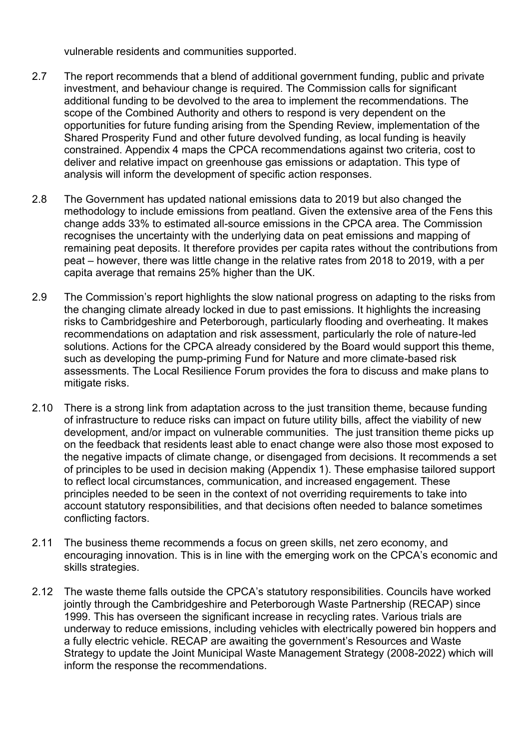vulnerable residents and communities supported.

- 2.7 The report recommends that a blend of additional government funding, public and private investment, and behaviour change is required. The Commission calls for significant additional funding to be devolved to the area to implement the recommendations. The scope of the Combined Authority and others to respond is very dependent on the opportunities for future funding arising from the Spending Review, implementation of the Shared Prosperity Fund and other future devolved funding, as local funding is heavily constrained. Appendix 4 maps the CPCA recommendations against two criteria, cost to deliver and relative impact on greenhouse gas emissions or adaptation. This type of analysis will inform the development of specific action responses.
- 2.8 The Government has updated national emissions data to 2019 but also changed the methodology to include emissions from peatland. Given the extensive area of the Fens this change adds 33% to estimated all-source emissions in the CPCA area. The Commission recognises the uncertainty with the underlying data on peat emissions and mapping of remaining peat deposits. It therefore provides per capita rates without the contributions from peat – however, there was little change in the relative rates from 2018 to 2019, with a per capita average that remains 25% higher than the UK.
- 2.9 The Commission's report highlights the slow national progress on adapting to the risks from the changing climate already locked in due to past emissions. It highlights the increasing risks to Cambridgeshire and Peterborough, particularly flooding and overheating. It makes recommendations on adaptation and risk assessment, particularly the role of nature-led solutions. Actions for the CPCA already considered by the Board would support this theme, such as developing the pump-priming Fund for Nature and more climate-based risk assessments. The Local Resilience Forum provides the fora to discuss and make plans to mitigate risks.
- 2.10 There is a strong link from adaptation across to the just transition theme, because funding of infrastructure to reduce risks can impact on future utility bills, affect the viability of new development, and/or impact on vulnerable communities. The just transition theme picks up on the feedback that residents least able to enact change were also those most exposed to the negative impacts of climate change, or disengaged from decisions. It recommends a set of principles to be used in decision making (Appendix 1). These emphasise tailored support to reflect local circumstances, communication, and increased engagement. These principles needed to be seen in the context of not overriding requirements to take into account statutory responsibilities, and that decisions often needed to balance sometimes conflicting factors.
- 2.11 The business theme recommends a focus on green skills, net zero economy, and encouraging innovation. This is in line with the emerging work on the CPCA's economic and skills strategies.
- 2.12 The waste theme falls outside the CPCA's statutory responsibilities. Councils have worked jointly through the Cambridgeshire and Peterborough Waste Partnership (RECAP) since 1999. This has overseen the significant increase in recycling rates. Various trials are underway to reduce emissions, including vehicles with electrically powered bin hoppers and a fully electric vehicle. RECAP are awaiting the government's Resources and Waste Strategy to update the Joint Municipal Waste Management Strategy (2008-2022) which will inform the response the recommendations.